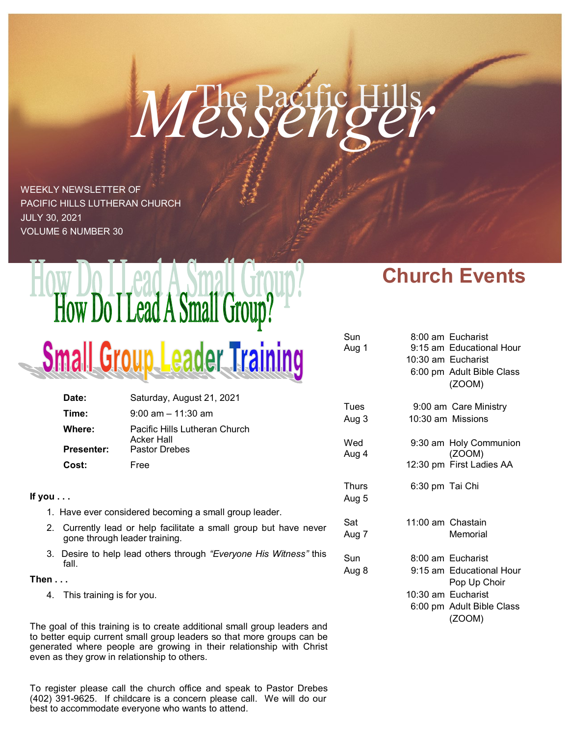# Messenge

Sun Aug 1

WEEKLY NEWSLETTER OF PACIFIC HILLS LUTHERAN CHURCH JULY 30, 2021 VOLUME 6 NUMBER 30

# How Do I Lead A Small Group? Small Group Leader Training

|                                                               | Date:                                                                                                       | Saturday, August 21, 2021                          |               |  |
|---------------------------------------------------------------|-------------------------------------------------------------------------------------------------------------|----------------------------------------------------|---------------|--|
|                                                               | Time:                                                                                                       | $9:00$ am $-11:30$ am                              | Tues<br>Aug 3 |  |
|                                                               | Where:                                                                                                      | Pacific Hills Lutheran Church<br><b>Acker Hall</b> | Wed           |  |
|                                                               | <b>Presenter:</b>                                                                                           | <b>Pastor Drebes</b>                               | Aug 4         |  |
|                                                               | Cost:                                                                                                       | Free                                               |               |  |
| If you $\dots$                                                |                                                                                                             |                                                    |               |  |
| 1. Have ever considered becoming a small group leader.<br>Sat |                                                                                                             |                                                    |               |  |
|                                                               | 2. Currently lead or help facilitate a small group but have never<br>Aug 7<br>gone through leader training. |                                                    |               |  |
|                                                               | 3. Desire to help lead others through "Everyone His Witness" this<br>fall.                                  |                                                    |               |  |
| Then $\dots$                                                  |                                                                                                             |                                                    | Aug 8         |  |
|                                                               | 4. This training is for you.                                                                                |                                                    |               |  |

The goal of this training is to create additional small group leaders and to better equip current small group leaders so that more groups can be generated where people are growing in their relationship with Christ even as they grow in relationship to others.

To register please call the church office and speak to Pastor Drebes (402) 391-9625. If childcare is a concern please call. We will do our best to accommodate everyone who wants to attend.

## **Church Events**

| Sun<br>Aug 1   |                   | 8:00 am Eucharist<br>9:15 am Educational Hour<br>10:30 am Eucharist<br>6:00 pm Adult Bible Class<br>(ZOOM) |
|----------------|-------------------|------------------------------------------------------------------------------------------------------------|
| Tues<br>Aug 3  |                   | 9:00 am Care Ministry<br>10:30 am Missions                                                                 |
| Wed<br>Aug 4   |                   | 9:30 am Holy Communion<br>(ZOOM)                                                                           |
|                |                   | 12:30 pm First Ladies AA                                                                                   |
| Thurs<br>Aug 5 | 6:30 pm Tai Chi   |                                                                                                            |
| Sat<br>Aug 7   | 11:00 am Chastain | Memorial                                                                                                   |
| Sun            |                   | 8:00 am Eucharist                                                                                          |
| Aug 8          |                   | 9:15 am Educational Hour<br>Pop Up Choir                                                                   |
|                |                   | 10:30 am Eucharist                                                                                         |
|                |                   | 6:00 pm Adult Bible Class<br>(ZOOM)                                                                        |